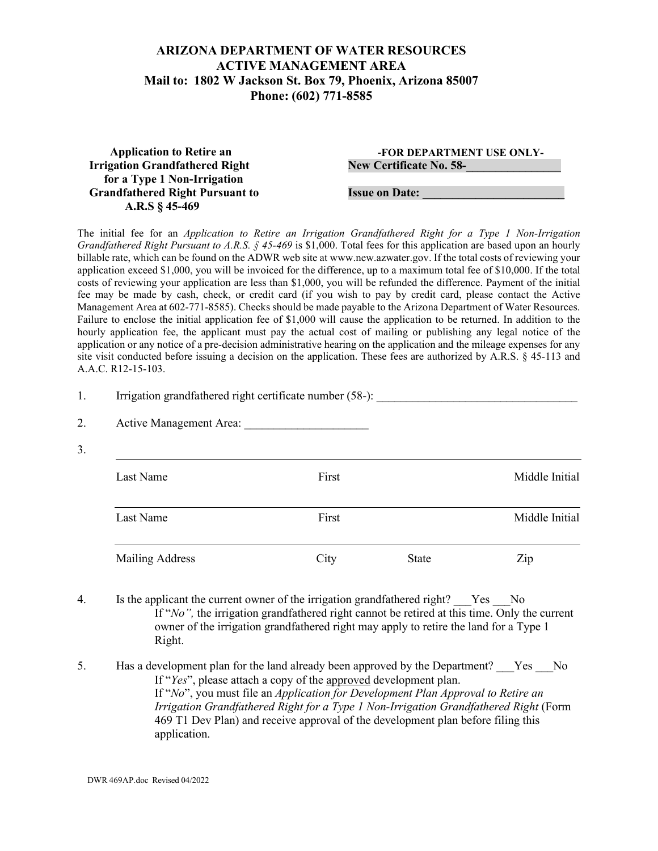## **ARIZONA DEPARTMENT OF WATER RESOURCES ACTIVE MANAGEMENT AREA Mail to: 1802 W Jackson St. Box 79, Phoenix, Arizona 85007 Phone: (602) 771-8585**

| <b>Application to Retire an</b>        | -FOR DEPARTMENT USE ONLY-      |
|----------------------------------------|--------------------------------|
| <b>Irrigation Grandfathered Right</b>  | <b>New Certificate No. 58-</b> |
| for a Type 1 Non-Irrigation            |                                |
| <b>Grandfathered Right Pursuant to</b> | <b>Issue on Date:</b>          |
| A.R.S $§$ 45-469                       |                                |

The initial fee for an *Application to Retire an Irrigation Grandfathered Right for a Type 1 Non-Irrigation Grandfathered Right Pursuant to A.R.S. § 45-469* is \$1,000. Total fees for this application are based upon an hourly billable rate, which can be found on the ADWR web site at www.new.azwater.gov. If the total costs of reviewing your application exceed \$1,000, you will be invoiced for the difference, up to a maximum total fee of \$10,000. If the total costs of reviewing your application are less than \$1,000, you will be refunded the difference. Payment of the initial fee may be made by cash, check, or credit card (if you wish to pay by credit card, please contact the Active Management Area at 602-771-8585). Checks should be made payable to the Arizona Department of Water Resources. Failure to enclose the initial application fee of \$1,000 will cause the application to be returned. In addition to the hourly application fee, the applicant must pay the actual cost of mailing or publishing any legal notice of the application or any notice of a pre-decision administrative hearing on the application and the mileage expenses for any site visit conducted before issuing a decision on the application. These fees are authorized by A.R.S. § 45-113 and A.A.C. R12-15-103.

| 1. |                        | Irrigation grandfathered right certificate number (58-): |              |                |  |  |
|----|------------------------|----------------------------------------------------------|--------------|----------------|--|--|
| 2. |                        |                                                          |              |                |  |  |
| 3. | Last Name              | First                                                    |              | Middle Initial |  |  |
|    | Last Name              | First                                                    |              | Middle Initial |  |  |
|    | <b>Mailing Address</b> | City                                                     | <b>State</b> | Zip            |  |  |

- 4. Is the applicant the current owner of the irrigation grandfathered right? Yes No If "*No*", the irrigation grandfathered right cannot be retired at this time. Only the current owner of the irrigation grandfathered right may apply to retire the land for a Type 1 Right.
- 5. Has a development plan for the land already been approved by the Department? Yes No If "*Yes*", please attach a copy of the approved development plan. If "*No*", you must file an *Application for Development Plan Approval to Retire an Irrigation Grandfathered Right for a Type 1 Non-Irrigation Grandfathered Right* (Form 469 T1 Dev Plan) and receive approval of the development plan before filing this application.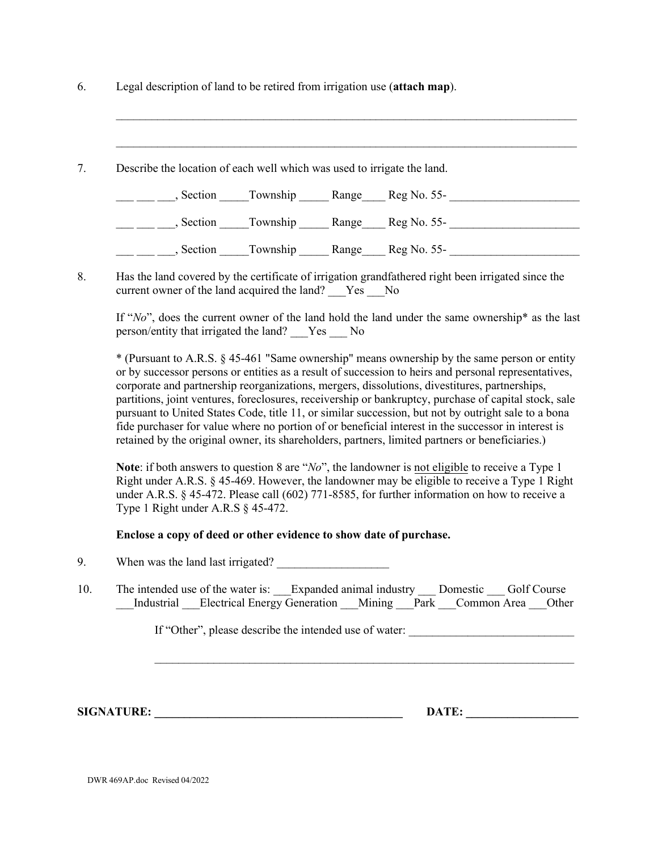| Legal description of land to be retired from irrigation use (attach map). |  |  |
|---------------------------------------------------------------------------|--|--|
|                                                                           |  |  |

| Describe the location of each well which was used to irrigate the land. |                |       |             |  |
|-------------------------------------------------------------------------|----------------|-------|-------------|--|
| Section                                                                 | Township Range |       | Reg No. 55- |  |
| Section                                                                 | Township       | Range | Reg No. 55- |  |
| Section                                                                 | Township       | Range | Reg No. 55- |  |

 $\_$  , and the set of the set of the set of the set of the set of the set of the set of the set of the set of the set of the set of the set of the set of the set of the set of the set of the set of the set of the set of th

\_\_\_\_\_\_\_\_\_\_\_\_\_\_\_\_\_\_\_\_\_\_\_\_\_\_\_\_\_\_\_\_\_\_\_\_\_\_\_\_\_\_\_\_\_\_\_\_\_\_\_\_\_\_\_\_\_\_\_\_\_\_\_\_\_\_\_\_\_\_\_\_\_\_\_\_\_\_

8. Has the land covered by the certificate of irrigation grandfathered right been irrigated since the current owner of the land acquired the land? Yes No

If "*No*", does the current owner of the land hold the land under the same ownership\* as the last person/entity that irrigated the land? \_\_\_Yes \_\_\_ No

\* (Pursuant to A.R.S. § 45-461 "Same ownership" means ownership by the same person or entity or by successor persons or entities as a result of succession to heirs and personal representatives, corporate and partnership reorganizations, mergers, dissolutions, divestitures, partnerships, partitions, joint ventures, foreclosures, receivership or bankruptcy, purchase of capital stock, sale pursuant to United States Code, title 11, or similar succession, but not by outright sale to a bona fide purchaser for value where no portion of or beneficial interest in the successor in interest is retained by the original owner, its shareholders, partners, limited partners or beneficiaries.)

**Note**: if both answers to question 8 are "*No*", the landowner is not eligible to receive a Type 1 Right under A.R.S. § 45-469. However, the landowner may be eligible to receive a Type 1 Right under A.R.S. § 45-472. Please call (602) 771-8585, for further information on how to receive a Type 1 Right under A.R.S § 45-472.

## **Enclose a copy of deed or other evidence to show date of purchase.**

- 9. When was the land last irrigated?
- 10. The intended use of the water is: Expanded animal industry Domestic Golf Course Industrial Electrical Energy Generation Mining Park Common Area Other

 $\_$  , and the contribution of the contribution of  $\mathcal{L}_\mathcal{A}$  , and the contribution of  $\mathcal{L}_\mathcal{A}$ 

If "Other", please describe the intended use of water:

SIGNATURE: **Example 20** DATE:

DWR 469AP.doc Revised 04/2022